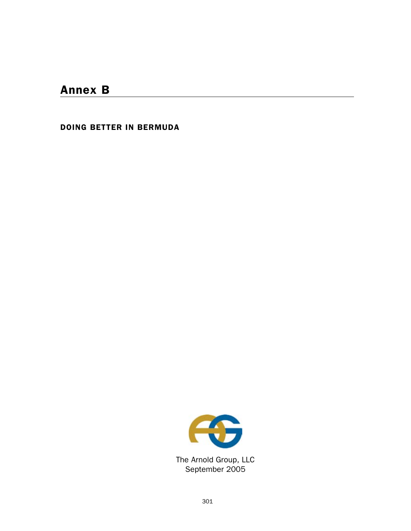# Annex B

DOING BETTER IN BERMUDA



The Arnold Group, LLC September 2005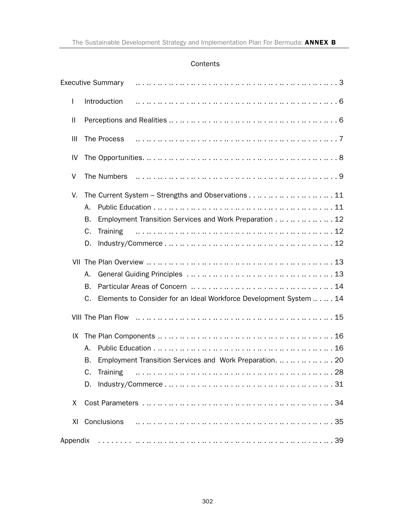#### **Contents**

| L            | Introduction                                                                                                                           |  |
|--------------|----------------------------------------------------------------------------------------------------------------------------------------|--|
| $\mathbf{I}$ |                                                                                                                                        |  |
| Ш            | The Process                                                                                                                            |  |
| IV           | The Opportunities. $\dots \dots \dots \dots \dots \dots \dots \dots \dots \dots \dots \dots \dots \dots \dots \dots \dots \dots \dots$ |  |
| V            | The Numbers                                                                                                                            |  |
| V.           | The Current System - Strengths and Observations 11<br>А.                                                                               |  |
|              | Employment Transition Services and Work Preparation 12<br>В.<br>C.<br><b>Training</b><br>D.                                            |  |
|              | А.<br><b>B.</b><br>Elements to Consider for an Ideal Workforce Development System  14<br>C.                                            |  |
|              | VIII The Plan Flow masses are not contained a series and contained a series and the VIII The Plan Flow                                 |  |
| IX           | А.<br>Employment Transition Services and Work Preparation.  20<br>В.<br><b>Training</b><br>C.                                          |  |
| X            |                                                                                                                                        |  |
| XI           |                                                                                                                                        |  |
|              |                                                                                                                                        |  |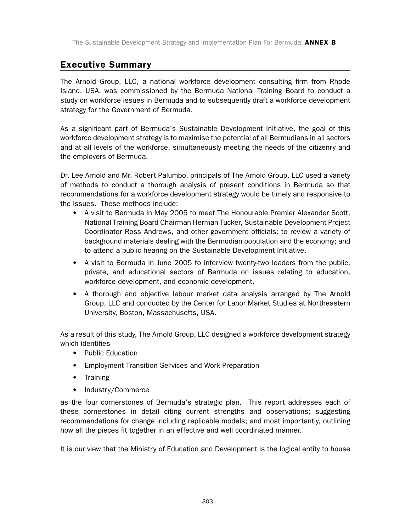### Executive Summary

The Arnold Group, LLC, a national workforce development consulting firm from Rhode Island, USA, was commissioned by the Bermuda National Training Board to conduct a study on workforce issues in Bermuda and to subsequently draft a workforce development strategy for the Government of Bermuda.

As a significant part of Bermuda's Sustainable Development Initiative, the goal of this workforce development strategy is to maximise the potential of all Bermudians in all sectors and at all levels of the workforce, simultaneously meeting the needs of the citizenry and the employers of Bermuda.

Dr. Lee Arnold and Mr. Robert Palumbo, principals of The Arnold Group, LLC used a variety of methods to conduct a thorough analysis of present conditions in Bermuda so that recommendations for a workforce development strategy would be timely and responsive to the issues. These methods include:

- A visit to Bermuda in May 2005 to meet The Honourable Premier Alexander Scott, National Training Board Chairman Herman Tucker, Sustainable Development Project Coordinator Ross Andrews, and other government officials; to review a variety of background materials dealing with the Bermudian population and the economy; and to attend a public hearing on the Sustainable Development Initiative.
- A visit to Bermuda in June 2005 to interview twenty-two leaders from the public, private, and educational sectors of Bermuda on issues relating to education, workforce development, and economic development.
- A thorough and objective labour market data analysis arranged by The Arnold Group, LLC and conducted by the Center for Labor Market Studies at Northeastern University, Boston, Massachusetts, USA.

As a result of this study, The Arnold Group, LLC designed a workforce development strategy which identifies

- Public Education
- Employment Transition Services and Work Preparation
- Training
- Industry/Commerce

as the four cornerstones of Bermuda's strategic plan. This report addresses each of these cornerstones in detail citing current strengths and observations; suggesting recommendations for change including replicable models; and most importantly, outlining how all the pieces fit together in an effective and well coordinated manner.

It is our view that the Ministry of Education and Development is the logical entity to house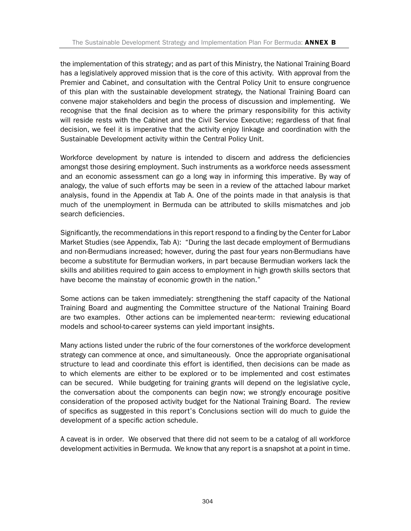the implementation of this strategy; and as part of this Ministry, the National Training Board has a legislatively approved mission that is the core of this activity. With approval from the Premier and Cabinet, and consultation with the Central Policy Unit to ensure congruence of this plan with the sustainable development strategy, the National Training Board can convene major stakeholders and begin the process of discussion and implementing. We recognise that the final decision as to where the primary responsibility for this activity will reside rests with the Cabinet and the Civil Service Executive; regardless of that final decision, we feel it is imperative that the activity enjoy linkage and coordination with the Sustainable Development activity within the Central Policy Unit.

Workforce development by nature is intended to discern and address the deficiencies amongst those desiring employment. Such instruments as a workforce needs assessment and an economic assessment can go a long way in informing this imperative. By way of analogy, the value of such efforts may be seen in a review of the attached labour market analysis, found in the Appendix at Tab A. One of the points made in that analysis is that much of the unemployment in Bermuda can be attributed to skills mismatches and job search deficiencies.

Significantly, the recommendations in this report respond to a finding by the Center for Labor Market Studies (see Appendix, Tab A): "During the last decade employment of Bermudians and non-Bermudians increased; however, during the past four years non-Bermudians have become a substitute for Bermudian workers, in part because Bermudian workers lack the skills and abilities required to gain access to employment in high growth skills sectors that have become the mainstay of economic growth in the nation."

Some actions can be taken immediately: strengthening the staff capacity of the National Training Board and augmenting the Committee structure of the National Training Board are two examples. Other actions can be implemented near-term: reviewing educational models and school-to-career systems can yield important insights.

Many actions listed under the rubric of the four cornerstones of the workforce development strategy can commence at once, and simultaneously. Once the appropriate organisational structure to lead and coordinate this effort is identified, then decisions can be made as to which elements are either to be explored or to be implemented and cost estimates can be secured. While budgeting for training grants will depend on the legislative cycle, the conversation about the components can begin now; we strongly encourage positive consideration of the proposed activity budget for the National Training Board. The review of specifics as suggested in this report's Conclusions section will do much to guide the development of a specific action schedule.

A caveat is in order. We observed that there did not seem to be a catalog of all workforce development activities in Bermuda. We know that any report is a snapshot at a point in time.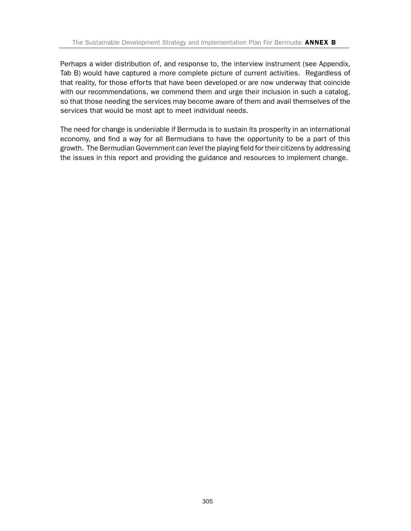Perhaps a wider distribution of, and response to, the interview instrument (see Appendix, Tab B) would have captured a more complete picture of current activities. Regardless of that reality, for those efforts that have been developed or are now underway that coincide with our recommendations, we commend them and urge their inclusion in such a catalog, so that those needing the services may become aware of them and avail themselves of the services that would be most apt to meet individual needs.

The need for change is undeniable if Bermuda is to sustain its prosperity in an international economy, and find a way for all Bermudians to have the opportunity to be a part of this growth. The Bermudian Government can level the playing field for their citizens by addressing the issues in this report and providing the guidance and resources to implement change.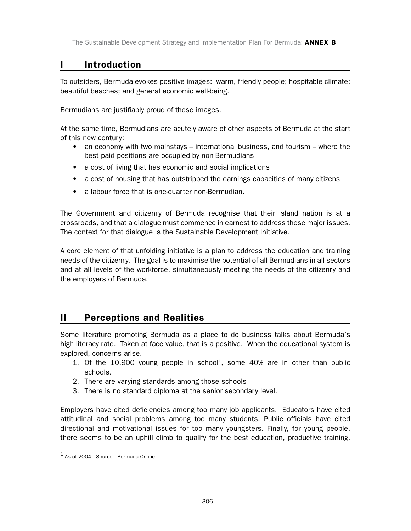### I Introduction

To outsiders, Bermuda evokes positive images: warm, friendly people; hospitable climate; beautiful beaches; and general economic well-being.

Bermudians are justifiably proud of those images.

At the same time, Bermudians are acutely aware of other aspects of Bermuda at the start of this new century:

- an economy with two mainstays international business, and tourism where the best paid positions are occupied by non-Bermudians
- a cost of living that has economic and social implications
- a cost of housing that has outstripped the earnings capacities of many citizens
- a labour force that is one-quarter non-Bermudian.

The Government and citizenry of Bermuda recognise that their island nation is at a crossroads, and that a dialogue must commence in earnest to address these major issues. The context for that dialogue is the Sustainable Development Initiative.

A core element of that unfolding initiative is a plan to address the education and training needs of the citizenry. The goal is to maximise the potential of all Bermudians in all sectors and at all levels of the workforce, simultaneously meeting the needs of the citizenry and the employers of Bermuda.

### II Perceptions and Realities

Some literature promoting Bermuda as a place to do business talks about Bermuda's high literacy rate. Taken at face value, that is a positive. When the educational system is explored, concerns arise.

- 1. Of the  $10,900$  young people in school<sup>1</sup>, some  $40\%$  are in other than public schools.
- 2. There are varying standards among those schools
- 3. There is no standard diploma at the senior secondary level.

Employers have cited deficiencies among too many job applicants. Educators have cited attitudinal and social problems among too many students. Public officials have cited directional and motivational issues for too many youngsters. Finally, for young people, there seems to be an uphill climb to qualify for the best education, productive training,

 $1$  As of 2004: Source: Bermuda Online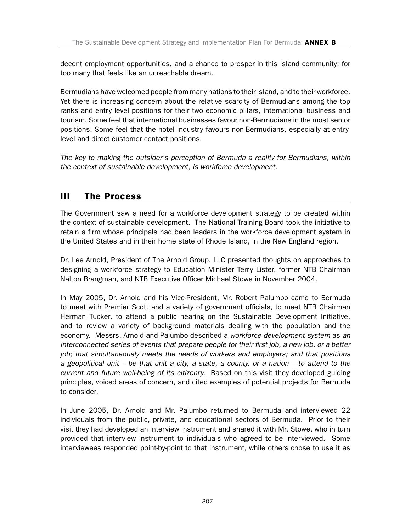decent employment opportunities, and a chance to prosper in this island community; for too many that feels like an unreachable dream.

Bermudians have welcomed people from many nations to their island, and to their workforce. Yet there is increasing concern about the relative scarcity of Bermudians among the top ranks and entry level positions for their two economic pillars, international business and tourism. Some feel that international businesses favour non-Bermudians in the most senior positions. Some feel that the hotel industry favours non-Bermudians, especially at entrylevel and direct customer contact positions.

*The key to making the outsider's perception of Bermuda a reality for Bermudians, within the context of sustainable development, is workforce development.* 

# III The Process

The Government saw a need for a workforce development strategy to be created within the context of sustainable development. The National Training Board took the initiative to retain a firm whose principals had been leaders in the workforce development system in the United States and in their home state of Rhode Island, in the New England region.

Dr. Lee Arnold, President of The Arnold Group, LLC presented thoughts on approaches to designing a workforce strategy to Education Minister Terry Lister, former NTB Chairman Nalton Brangman, and NTB Executive Officer Michael Stowe in November 2004.

In May 2005, Dr. Arnold and his Vice-President, Mr. Robert Palumbo came to Bermuda to meet with Premier Scott and a variety of government officials, to meet NTB Chairman Herman Tucker, to attend a public hearing on the Sustainable Development Initiative, and to review a variety of background materials dealing with the population and the economy. Messrs. Arnold and Palumbo described a *workforce development system* as *an interconnected series of events that prepare people for their first job, a new job, or a better job; that simultaneously meets the needs of workers and employers; and that positions a geopolitical unit – be that unit a city, a state, a county, or a nation – to attend to the current and future well-being of its citizenry.* Based on this visit they developed guiding principles, voiced areas of concern, and cited examples of potential projects for Bermuda to consider.

In June 2005, Dr. Arnold and Mr. Palumbo returned to Bermuda and interviewed 22 individuals from the public, private, and educational sectors of Bermuda. Prior to their visit they had developed an interview instrument and shared it with Mr. Stowe, who in turn provided that interview instrument to individuals who agreed to be interviewed. Some interviewees responded point-by-point to that instrument, while others chose to use it as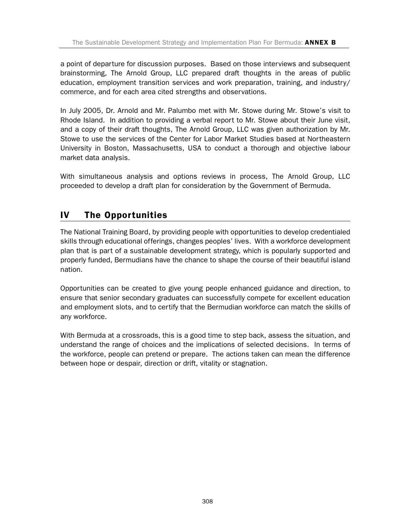a point of departure for discussion purposes. Based on those interviews and subsequent brainstorming, The Arnold Group, LLC prepared draft thoughts in the areas of public education, employment transition services and work preparation, training, and industry/ commerce, and for each area cited strengths and observations.

In July 2005, Dr. Arnold and Mr. Palumbo met with Mr. Stowe during Mr. Stowe's visit to Rhode Island. In addition to providing a verbal report to Mr. Stowe about their June visit, and a copy of their draft thoughts, The Arnold Group, LLC was given authorization by Mr. Stowe to use the services of the Center for Labor Market Studies based at Northeastern University in Boston, Massachusetts, USA to conduct a thorough and objective labour market data analysis.

With simultaneous analysis and options reviews in process, The Arnold Group, LLC proceeded to develop a draft plan for consideration by the Government of Bermuda.

# IV The Opportunities

The National Training Board, by providing people with opportunities to develop credentialed skills through educational offerings, changes peoples' lives. With a workforce development plan that is part of a sustainable development strategy, which is popularly supported and properly funded, Bermudians have the chance to shape the course of their beautiful island nation.

Opportunities can be created to give young people enhanced guidance and direction, to ensure that senior secondary graduates can successfully compete for excellent education and employment slots, and to certify that the Bermudian workforce can match the skills of any workforce.

With Bermuda at a crossroads, this is a good time to step back, assess the situation, and understand the range of choices and the implications of selected decisions. In terms of the workforce, people can pretend or prepare. The actions taken can mean the difference between hope or despair, direction or drift, vitality or stagnation.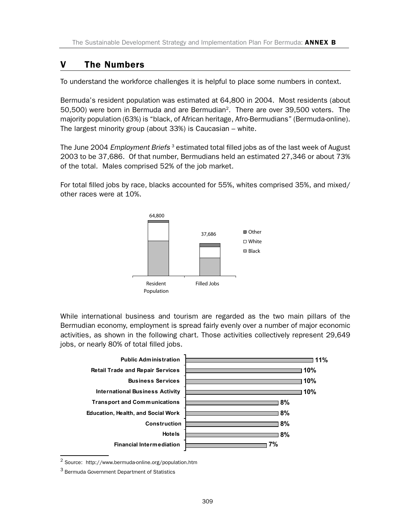### V The Numbers

To understand the workforce challenges it is helpful to place some numbers in context.

Bermuda's resident population was estimated at 64,800 in 2004. Most residents (about 50,500) were born in Bermuda and are Bermudian2. There are over 39,500 voters. The majority population (63%) is "black, of African heritage, Afro-Bermudians" (Bermuda-online). The largest minority group (about 33%) is Caucasian – white.

The June 2004 *Employment Briefs* 3 estimated total filled jobs as of the last week of August 2003 to be 37,686. Of that number, Bermudians held an estimated 27,346 or about 73% of the total. Males comprised 52% of the job market.

For total filled jobs by race, blacks accounted for 55%, whites comprised 35%, and mixed/ other races were at 10%.



While international business and tourism are regarded as the two main pillars of the Bermudian economy, employment is spread fairly evenly over a number of major economic activities, as shown in the following chart. Those activities collectively represent 29,649 jobs, or nearly 80% of total filled jobs.



<sup>2</sup> Source: http://www.bermuda-online.org/population.htm

<sup>3</sup> Bermuda Government Department of Statistics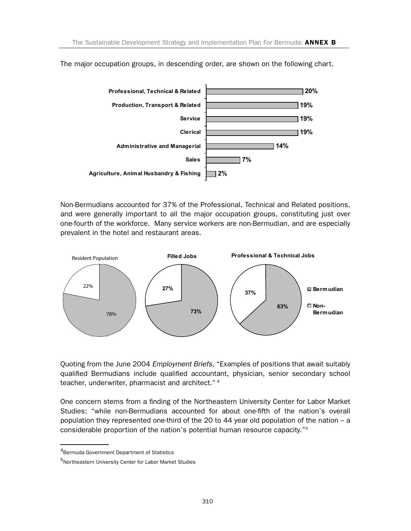

The major occupation groups, in descending order, are shown on the following chart.

Non-Bermudians accounted for 37% of the Professional, Technical and Related positions, and were generally important to all the major occupation groups, constituting just over one-fourth of the workforce. Many service workers are non-Bermudian, and are especially prevalent in the hotel and restaurant areas.



Quoting from the June 2004 *Employment Briefs*, "Examples of positions that await suitably qualified Bermudians include qualified accountant, physician, senior secondary school teacher, underwriter, pharmacist and architect."<sup>4</sup>

One concern stems from a finding of the Northeastern University Center for Labor Market Studies: "while non-Bermudians accounted for about one-fifth of the nation's overall population they represented one-third of the 20 to 44 year old population of the nation – a considerable proportion of the nation's potential human resource capacity."5

<sup>4</sup>Bermuda Government Department of Statistics

<sup>5</sup>Northeastern University Center for Labor Market Studies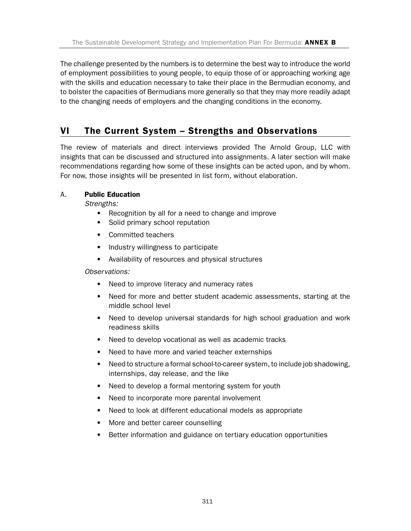The challenge presented by the numbers is to determine the best way to introduce the world of employment possibilities to young people, to equip those of or approaching working age with the skills and education necessary to take their place in the Bermudian economy, and to bolster the capacities of Bermudians more generally so that they may more readily adapt to the changing needs of employers and the changing conditions in the economy.

### VI The Current System – Strengths and Observations

The review of materials and direct interviews provided The Arnold Group, LLC with insights that can be discussed and structured into assignments. A later section will make recommendations regarding how some of these insights can be acted upon, and by whom. For now, those insights will be presented in list form, without elaboration.

#### A. Public Education

*Strengths:*

- Recognition by all for a need to change and improve
- Solid primary school reputation
- Committed teachers
- Industry willingness to participate
- Availability of resources and physical structures

*Observations:*

- Need to improve literacy and numeracy rates
- Need for more and better student academic assessments, starting at the middle school level
- Need to develop universal standards for high school graduation and work readiness skills
- Need to develop vocational as well as academic tracks
- Need to have more and varied teacher externships
- Need to structure a formal school-to-career system, to include job shadowing, internships, day release, and the like
- Need to develop a formal mentoring system for youth
- Need to incorporate more parental involvement
- Need to look at different educational models as appropriate
- More and better career counselling
- Better information and guidance on tertiary education opportunities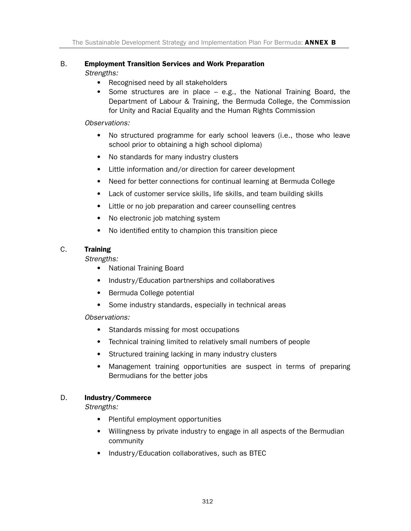# B. Employment Transition Services and Work Preparation

*Strengths:*

- Recognised need by all stakeholders
- Some structures are in place e.g., the National Training Board, the Department of Labour & Training, the Bermuda College, the Commission for Unity and Racial Equality and the Human Rights Commission

*Observations:*

- No structured programme for early school leavers (i.e., those who leave school prior to obtaining a high school diploma)
- No standards for many industry clusters
- Little information and/or direction for career development
- Need for better connections for continual learning at Bermuda College
- Lack of customer service skills, life skills, and team building skills
- Little or no job preparation and career counselling centres
- No electronic job matching system
- No identified entity to champion this transition piece

#### C. Training

*Strengths:*

- National Training Board
- Industry/Education partnerships and collaboratives
- Bermuda College potential
- Some industry standards, especially in technical areas

*Observations:*

- Standards missing for most occupations
- Technical training limited to relatively small numbers of people
- Structured training lacking in many industry clusters
- Management training opportunities are suspect in terms of preparing Bermudians for the better jobs

#### D. Industry/Commerce

*Strengths:*

- Plentiful employment opportunities
- Willingness by private industry to engage in all aspects of the Bermudian community
- Industry/Education collaboratives, such as BTEC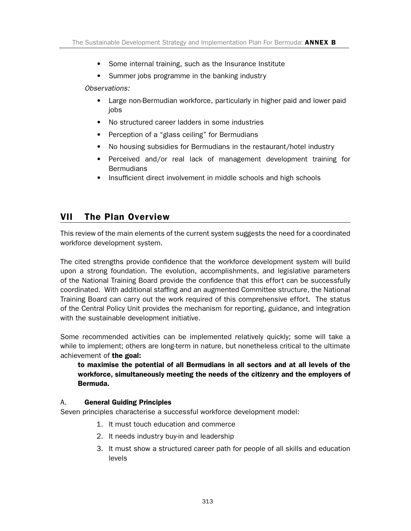- Some internal training, such as the Insurance Institute
- Summer jobs programme in the banking industry

*Observations:*

- Large non-Bermudian workforce, particularly in higher paid and lower paid iobs
- No structured career ladders in some industries
- Perception of a "glass ceiling" for Bermudians
- No housing subsidies for Bermudians in the restaurant/hotel industry
- Perceived and/or real lack of management development training for Bermudians
- Insufficient direct involvement in middle schools and high schools

### VII The Plan Overview

This review of the main elements of the current system suggests the need for a coordinated workforce development system.

The cited strengths provide confidence that the workforce development system will build upon a strong foundation. The evolution, accomplishments, and legislative parameters of the National Training Board provide the confidence that this effort can be successfully coordinated. With additional staffing and an augmented Committee structure, the National Training Board can carry out the work required of this comprehensive effort. The status of the Central Policy Unit provides the mechanism for reporting, guidance, and integration with the sustainable development initiative.

Some recommended activities can be implemented relatively quickly; some will take a while to implement; others are long-term in nature, but nonetheless critical to the ultimate achievement of **the goal:** 

to maximise the potential of all Bermudians in all sectors and at all levels of the workforce, simultaneously meeting the needs of the citizenry and the employers of Bermuda.

#### A. General Guiding Principles

Seven principles characterise a successful workforce development model:

- 1. It must touch education and commerce
- 2. It needs industry buy-in and leadership
- 3. It must show a structured career path for people of all skills and education levels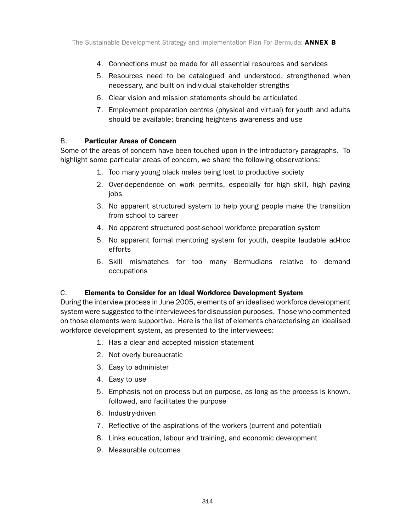- 4. Connections must be made for all essential resources and services
- 5. Resources need to be catalogued and understood, strengthened when necessary, and built on individual stakeholder strengths
- 6. Clear vision and mission statements should be articulated
- 7. Employment preparation centres (physical and virtual) for youth and adults should be available; branding heightens awareness and use

#### B. Particular Areas of Concern

Some of the areas of concern have been touched upon in the introductory paragraphs. To highlight some particular areas of concern, we share the following observations:

- 1. Too many young black males being lost to productive society
- 2. Over-dependence on work permits, especially for high skill, high paying jobs
- 3. No apparent structured system to help young people make the transition from school to career
- 4. No apparent structured post-school workforce preparation system
- 5. No apparent formal mentoring system for youth, despite laudable ad-hoc efforts
- 6. Skill mismatches for too many Bermudians relative to demand occupations

#### C. Elements to Consider for an Ideal Workforce Development System

During the interview process in June 2005, elements of an idealised workforce development system were suggested to the interviewees for discussion purposes. Those who commented on those elements were supportive. Here is the list of elements characterising an idealised workforce development system, as presented to the interviewees:

- 1. Has a clear and accepted mission statement
- 2. Not overly bureaucratic
- 3. Easy to administer
- 4. Easy to use
- 5. Emphasis not on process but on purpose, as long as the process is known, followed, and facilitates the purpose
- 6. Industry-driven
- 7. Reflective of the aspirations of the workers (current and potential)
- 8. Links education, labour and training, and economic development
- 9. Measurable outcomes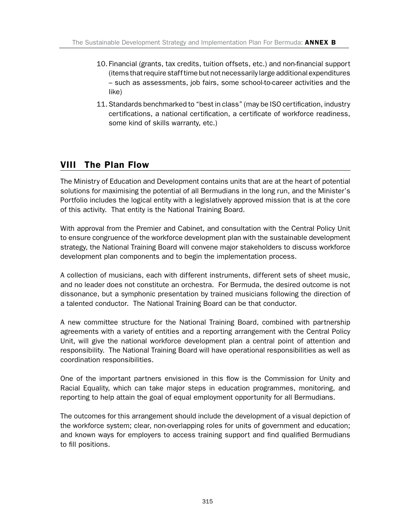- 10. Financial (grants, tax credits, tuition offsets, etc.) and non-financial support (items that require staff time but not necessarily large additional expenditures – such as assessments, job fairs, some school-to-career activities and the like)
- 11. Standards benchmarked to "best in class" (may be ISO certification, industry certifications, a national certification, a certificate of workforce readiness, some kind of skills warranty, etc.)

# VIII The Plan Flow

The Ministry of Education and Development contains units that are at the heart of potential solutions for maximising the potential of all Bermudians in the long run, and the Minister's Portfolio includes the logical entity with a legislatively approved mission that is at the core of this activity. That entity is the National Training Board.

With approval from the Premier and Cabinet, and consultation with the Central Policy Unit to ensure congruence of the workforce development plan with the sustainable development strategy, the National Training Board will convene major stakeholders to discuss workforce development plan components and to begin the implementation process.

A collection of musicians, each with different instruments, different sets of sheet music, and no leader does not constitute an orchestra. For Bermuda, the desired outcome is not dissonance, but a symphonic presentation by trained musicians following the direction of a talented conductor. The National Training Board can be that conductor.

A new committee structure for the National Training Board, combined with partnership agreements with a variety of entities and a reporting arrangement with the Central Policy Unit, will give the national workforce development plan a central point of attention and responsibility. The National Training Board will have operational responsibilities as well as coordination responsibilities.

One of the important partners envisioned in this flow is the Commission for Unity and Racial Equality, which can take major steps in education programmes, monitoring, and reporting to help attain the goal of equal employment opportunity for all Bermudians.

The outcomes for this arrangement should include the development of a visual depiction of the workforce system; clear, non-overlapping roles for units of government and education; and known ways for employers to access training support and find qualified Bermudians to fill positions.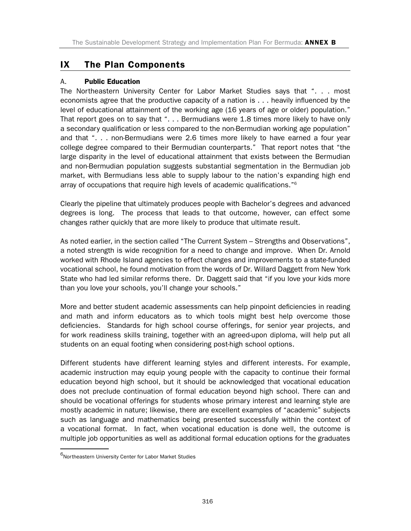### IX The Plan Components

#### A. Public Education

The Northeastern University Center for Labor Market Studies says that "... most economists agree that the productive capacity of a nation is ... heavily influenced by the level of educational attainment of the working age (16 years of age or older) population." That report goes on to say that "... Bermudians were 1.8 times more likely to have only a secondary qualification or less compared to the non-Bermudian working age population" and that "... non-Bermudians were 2.6 times more likely to have earned a four year college degree compared to their Bermudian counterparts." That report notes that "the large disparity in the level of educational attainment that exists between the Bermudian and non-Bermudian population suggests substantial segmentation in the Bermudian job market, with Bermudians less able to supply labour to the nation's expanding high end array of occupations that require high levels of academic qualifications."6

Clearly the pipeline that ultimately produces people with Bachelor's degrees and advanced degrees is long. The process that leads to that outcome, however, can effect some changes rather quickly that are more likely to produce that ultimate result.

As noted earlier, in the section called "The Current System – Strengths and Observations", a noted strength is wide recognition for a need to change and improve. When Dr. Arnold worked with Rhode Island agencies to effect changes and improvements to a state-funded vocational school, he found motivation from the words of Dr. Willard Daggett from New York State who had led similar reforms there. Dr. Daggett said that "if you love your kids more than you love your schools, you'll change your schools."

More and better student academic assessments can help pinpoint deficiencies in reading and math and inform educators as to which tools might best help overcome those deficiencies. Standards for high school course offerings, for senior year projects, and for work readiness skills training, together with an agreed-upon diploma, will help put all students on an equal footing when considering post-high school options.

Different students have different learning styles and different interests. For example, academic instruction may equip young people with the capacity to continue their formal education beyond high school, but it should be acknowledged that vocational education does not preclude continuation of formal education beyond high school. There can and should be vocational offerings for students whose primary interest and learning style are mostly academic in nature; likewise, there are excellent examples of "academic" subjects such as language and mathematics being presented successfully within the context of a vocational format. In fact, when vocational education is done well, the outcome is multiple job opportunities as well as additional formal education options for the graduates

 $6$ Northeastern University Center for Labor Market Studies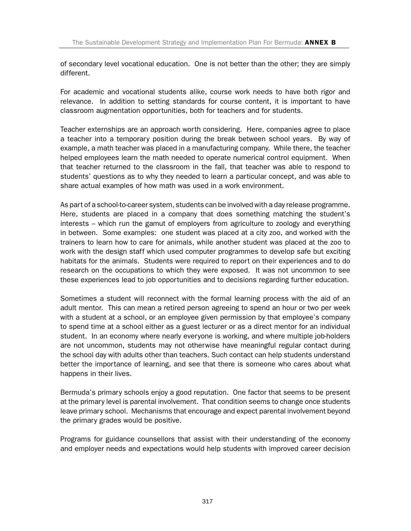of secondary level vocational education. One is not better than the other; they are simply different.

For academic and vocational students alike, course work needs to have both rigor and relevance. In addition to setting standards for course content, it is important to have classroom augmentation opportunities, both for teachers and for students.

Teacher externships are an approach worth considering. Here, companies agree to place a teacher into a temporary position during the break between school years. By way of example, a math teacher was placed in a manufacturing company. While there, the teacher helped employees learn the math needed to operate numerical control equipment. When that teacher returned to the classroom in the fall, that teacher was able to respond to students' questions as to why they needed to learn a particular concept, and was able to share actual examples of how math was used in a work environment.

As part of a school-to-career system, students can be involved with a day release programme. Here, students are placed in a company that does something matching the student's interests – which run the gamut of employers from agriculture to zoology and everything in between. Some examples: one student was placed at a city zoo, and worked with the trainers to learn how to care for animals, while another student was placed at the zoo to work with the design staff which used computer programmes to develop safe but exciting habitats for the animals. Students were required to report on their experiences and to do research on the occupations to which they were exposed. It was not uncommon to see these experiences lead to job opportunities and to decisions regarding further education.

Sometimes a student will reconnect with the formal learning process with the aid of an adult mentor. This can mean a retired person agreeing to spend an hour or two per week with a student at a school, or an employee given permission by that employee's company to spend time at a school either as a guest lecturer or as a direct mentor for an individual student. In an economy where nearly everyone is working, and where multiple job-holders are not uncommon, students may not otherwise have meaningful regular contact during the school day with adults other than teachers. Such contact can help students understand better the importance of learning, and see that there is someone who cares about what happens in their lives.

Bermuda's primary schools enjoy a good reputation. One factor that seems to be present at the primary level is parental involvement. That condition seems to change once students leave primary school. Mechanisms that encourage and expect parental involvement beyond the primary grades would be positive.

Programs for guidance counsellors that assist with their understanding of the economy and employer needs and expectations would help students with improved career decision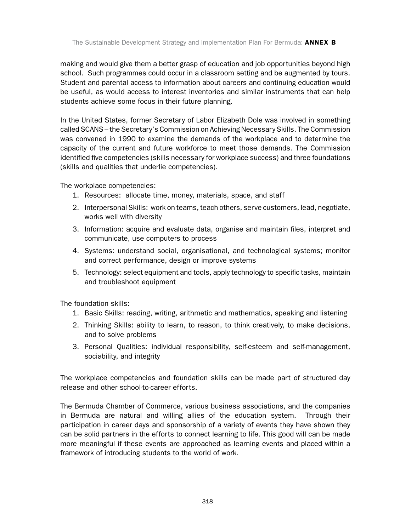making and would give them a better grasp of education and job opportunities beyond high school. Such programmes could occur in a classroom setting and be augmented by tours. Student and parental access to information about careers and continuing education would be useful, as would access to interest inventories and similar instruments that can help students achieve some focus in their future planning.

In the United States, former Secretary of Labor Elizabeth Dole was involved in something called SCANS – the Secretary's Commission on Achieving Necessary Skills. The Commission was convened in 1990 to examine the demands of the workplace and to determine the capacity of the current and future workforce to meet those demands. The Commission identified five competencies (skills necessary for workplace success) and three foundations (skills and qualities that underlie competencies).

The workplace competencies:

- 1. Resources: allocate time, money, materials, space, and staff
- 2. Interpersonal Skills: work on teams, teach others, serve customers, lead, negotiate, works well with diversity
- 3. Information: acquire and evaluate data, organise and maintain files, interpret and communicate, use computers to process
- 4. Systems: understand social, organisational, and technological systems; monitor and correct performance, design or improve systems
- 5. Technology: select equipment and tools, apply technology to specific tasks, maintain and troubleshoot equipment

The foundation skills:

- 1. Basic Skills: reading, writing, arithmetic and mathematics, speaking and listening
- 2. Thinking Skills: ability to learn, to reason, to think creatively, to make decisions, and to solve problems
- 3. Personal Qualities: individual responsibility, self-esteem and self-management, sociability, and integrity

The workplace competencies and foundation skills can be made part of structured day release and other school-to-career efforts.

The Bermuda Chamber of Commerce, various business associations, and the companies in Bermuda are natural and willing allies of the education system. Through their participation in career days and sponsorship of a variety of events they have shown they can be solid partners in the efforts to connect learning to life. This good will can be made more meaningful if these events are approached as learning events and placed within a framework of introducing students to the world of work.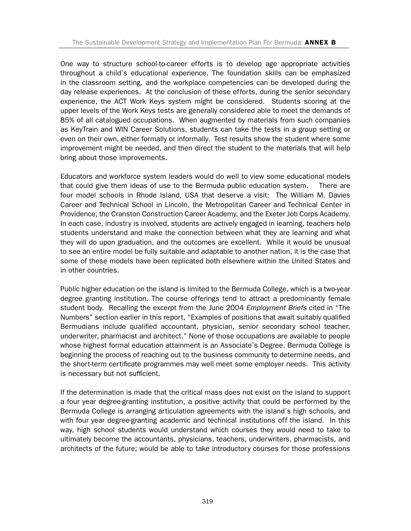One way to structure school-to-career efforts is to develop age appropriate activities throughout a child's educational experience. The foundation skills can be emphasized in the classroom setting, and the workplace competencies can be developed during the day release experiences. At the conclusion of these efforts, during the senior secondary experience, the ACT Work Keys system might be considered. Students scoring at the upper levels of the Work Keys tests are generally considered able to meet the demands of 85% of all catalogued occupations. When augmented by materials from such companies as KeyTrain and WIN Career Solutions, students can take the tests in a group setting or even on their own, either formally or informally. Test results show the student where some improvement might be needed, and then direct the student to the materials that will help bring about those improvements.

Educators and workforce system leaders would do well to view some educational models that could give them ideas of use to the Bermuda public education system. There are four model schools in Rhode Island, USA that deserve a visit: The William M. Davies Career and Technical School in Lincoln, the Metropolitan Career and Technical Center in Providence, the Cranston Construction Career Academy, and the Exeter Job Corps Academy. In each case, industry is involved, students are actively engaged in learning, teachers help students understand and make the connection between what they are learning and what they will do upon graduation, and the outcomes are excellent. While it would be unusual to see an entire model be fully suitable and adaptable to another nation, it is the case that some of these models have been replicated both elsewhere within the United States and in other countries.

Public higher education on the island is limited to the Bermuda College, which is a two-year degree granting institution. The course offerings tend to attract a predominantly female student body. Recalling the excerpt from the June 2004 *Employment Briefs* cited in "The Numbers" section earlier in this report, "Examples of positions that await suitably qualified Bermudians include qualified accountant, physician, senior secondary school teacher, underwriter, pharmacist and architect." None of those occupations are available to people whose highest formal education attainment is an Associate's Degree. Bermuda College is beginning the process of reaching out to the business community to determine needs, and the short-term certificate programmes may well meet some employer needs. This activity is necessary but not sufficient.

If the determination is made that the critical mass does not exist on the island to support a four year degree-granting institution, a positive activity that could be performed by the Bermuda College is arranging articulation agreements with the island's high schools, and with four year degree-granting academic and technical institutions off the island. In this way, high school students would understand which courses they would need to take to ultimately become the accountants, physicians, teachers, underwriters, pharmacists, and architects of the future; would be able to take introductory courses for those professions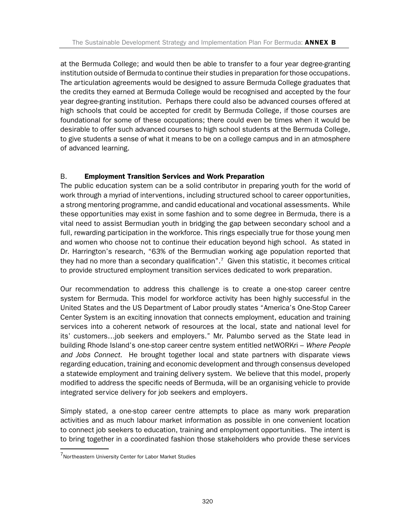at the Bermuda College; and would then be able to transfer to a four year degree-granting institution outside of Bermuda to continue their studies in preparation for those occupations. The articulation agreements would be designed to assure Bermuda College graduates that the credits they earned at Bermuda College would be recognised and accepted by the four year degree-granting institution. Perhaps there could also be advanced courses offered at high schools that could be accepted for credit by Bermuda College, if those courses are foundational for some of these occupations; there could even be times when it would be desirable to offer such advanced courses to high school students at the Bermuda College, to give students a sense of what it means to be on a college campus and in an atmosphere of advanced learning.

#### B. Employment Transition Services and Work Preparation

The public education system can be a solid contributor in preparing youth for the world of work through a myriad of interventions, including structured school to career opportunities, a strong mentoring programme, and candid educational and vocational assessments. While these opportunities may exist in some fashion and to some degree in Bermuda, there is a vital need to assist Bermudian youth in bridging the gap between secondary school and a full, rewarding participation in the workforce. This rings especially true for those young men and women who choose not to continue their education beyond high school. As stated in Dr. Harrington's research, "63% of the Bermudian working age population reported that they had no more than a secondary qualification".<sup>7</sup> Given this statistic, it becomes critical to provide structured employment transition services dedicated to work preparation.

Our recommendation to address this challenge is to create a one-stop career centre system for Bermuda. This model for workforce activity has been highly successful in the United States and the US Department of Labor proudly states "America's One-Stop Career Center System is an exciting innovation that connects employment, education and training services into a coherent network of resources at the local, state and national level for its' customers…job seekers and employers." Mr. Palumbo served as the State lead in building Rhode Island's one-stop career centre system entitled netWORKri – *Where People and Jobs Connect.* He brought together local and state partners with disparate views regarding education, training and economic development and through consensus developed a statewide employment and training delivery system. We believe that this model, properly modified to address the specific needs of Bermuda, will be an organising vehicle to provide integrated service delivery for job seekers and employers.

Simply stated, a one-stop career centre attempts to place as many work preparation activities and as much labour market information as possible in one convenient location to connect job seekers to education, training and employment opportunities. The intent is to bring together in a coordinated fashion those stakeholders who provide these services

<sup>7</sup>Northeastern University Center for Labor Market Studies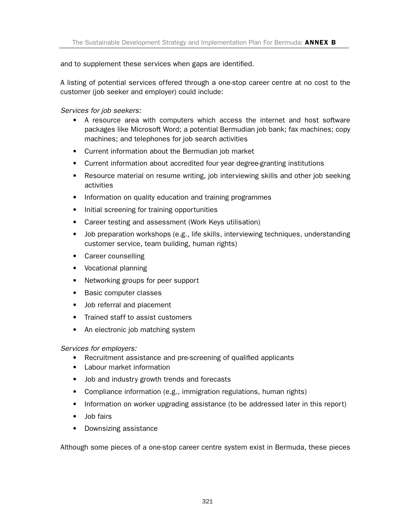and to supplement these services when gaps are identified.

A listing of potential services offered through a one-stop career centre at no cost to the customer (job seeker and employer) could include:

*Services for job seekers:*

- A resource area with computers which access the internet and host software packages like Microsoft Word; a potential Bermudian job bank; fax machines; copy machines; and telephones for job search activities
- Current information about the Bermudian job market
- Current information about accredited four year degree-granting institutions
- Resource material on resume writing, job interviewing skills and other job seeking activities
- Information on quality education and training programmes
- Initial screening for training opportunities
- Career testing and assessment (Work Keys utilisation)
- Job preparation workshops (e.g., life skills, interviewing techniques, understanding customer service, team building, human rights)
- Career counselling
- Vocational planning
- Networking groups for peer support
- Basic computer classes
- Job referral and placement
- Trained staff to assist customers
- An electronic job matching system

*Services for employers:*

- Recruitment assistance and pre-screening of qualified applicants
- Labour market information
- Job and industry growth trends and forecasts
- Compliance information (e.g., immigration regulations, human rights)
- Information on worker upgrading assistance (to be addressed later in this report)
- Job fairs
- Downsizing assistance

Although some pieces of a one-stop career centre system exist in Bermuda, these pieces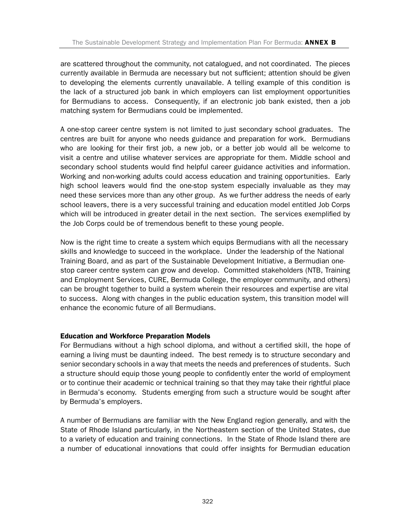are scattered throughout the community, not catalogued, and not coordinated. The pieces currently available in Bermuda are necessary but not sufficient; attention should be given to developing the elements currently unavailable. A telling example of this condition is the lack of a structured job bank in which employers can list employment opportunities for Bermudians to access. Consequently, if an electronic job bank existed, then a job matching system for Bermudians could be implemented.

A one-stop career centre system is not limited to just secondary school graduates. The centres are built for anyone who needs guidance and preparation for work. Bermudians who are looking for their first job, a new job, or a better job would all be welcome to visit a centre and utilise whatever services are appropriate for them. Middle school and secondary school students would find helpful career guidance activities and information. Working and non-working adults could access education and training opportunities. Early high school leavers would find the one-stop system especially invaluable as they may need these services more than any other group. As we further address the needs of early school leavers, there is a very successful training and education model entitled Job Corps which will be introduced in greater detail in the next section. The services exemplified by the Job Corps could be of tremendous benefit to these young people.

Now is the right time to create a system which equips Bermudians with all the necessary skills and knowledge to succeed in the workplace. Under the leadership of the National Training Board, and as part of the Sustainable Development Initiative, a Bermudian onestop career centre system can grow and develop. Committed stakeholders (NTB, Training and Employment Services, CURE, Bermuda College, the employer community, and others) can be brought together to build a system wherein their resources and expertise are vital to success. Along with changes in the public education system, this transition model will enhance the economic future of all Bermudians.

#### Education and Workforce Preparation Models

For Bermudians without a high school diploma, and without a certified skill, the hope of earning a living must be daunting indeed. The best remedy is to structure secondary and senior secondary schools in a way that meets the needs and preferences of students. Such a structure should equip those young people to confidently enter the world of employment or to continue their academic or technical training so that they may take their rightful place in Bermuda's economy. Students emerging from such a structure would be sought after by Bermuda's employers.

A number of Bermudians are familiar with the New England region generally, and with the State of Rhode Island particularly, in the Northeastern section of the United States, due to a variety of education and training connections. In the State of Rhode Island there are a number of educational innovations that could offer insights for Bermudian education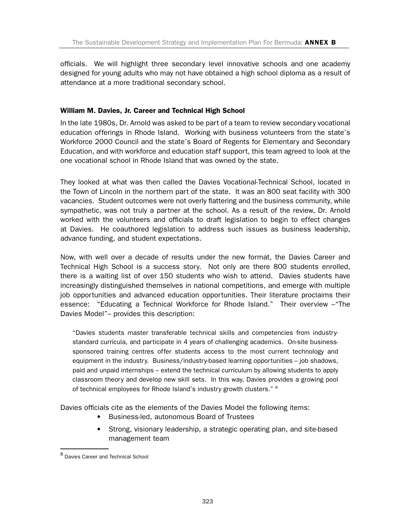officials. We will highlight three secondary level innovative schools and one academy designed for young adults who may not have obtained a high school diploma as a result of attendance at a more traditional secondary school.

#### William M. Davies, Jr. Career and Technical High School

In the late 1980s, Dr. Arnold was asked to be part of a team to review secondary vocational education offerings in Rhode Island. Working with business volunteers from the state's Workforce 2000 Council and the state's Board of Regents for Elementary and Secondary Education, and with workforce and education staff support, this team agreed to look at the one vocational school in Rhode Island that was owned by the state.

They looked at what was then called the Davies Vocational-Technical School, located in the Town of Lincoln in the northern part of the state. It was an 800 seat facility with 300 vacancies. Student outcomes were not overly flattering and the business community, while sympathetic, was not truly a partner at the school. As a result of the review, Dr. Arnold worked with the volunteers and officials to draft legislation to begin to effect changes at Davies. He coauthored legislation to address such issues as business leadership, advance funding, and student expectations.

Now, with well over a decade of results under the new format, the Davies Career and Technical High School is a success story. Not only are there 800 students enrolled, there is a waiting list of over 150 students who wish to attend. Davies students have increasingly distinguished themselves in national competitions, and emerge with multiple job opportunities and advanced education opportunities. Their literature proclaims their essence: "Educating a Technical Workforce for Rhode Island." Their overview –"The Davies Model"– provides this description:

"Davies students master transferable technical skills and competencies from industrystandard curricula, and participate in 4 years of challenging academics. On-site businesssponsored training centres offer students access to the most current technology and equipment in the industry. Business/industry-based learning opportunities – job shadows, paid and unpaid internships – extend the technical curriculum by allowing students to apply classroom theory and develop new skill sets. In this way, Davies provides a growing pool of technical employees for Rhode Island's industry growth clusters." 8

Davies officials cite as the elements of the Davies Model the following items:

- Business-led, autonomous Board of Trustees
- Strong, visionary leadership, a strategic operating plan, and site-based management team

<sup>8</sup> Davies Career and Technical School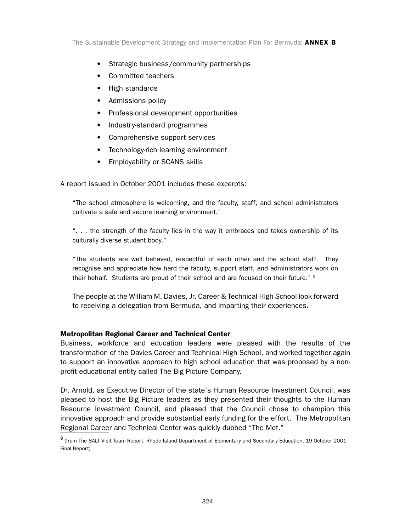- Strategic business/community partnerships
- Committed teachers
- High standards
- Admissions policy
- Professional development opportunities
- Industry-standard programmes
- Comprehensive support services
- Technology-rich learning environment
- Employability or SCANS skills

A report issued in October 2001 includes these excerpts:

"The school atmosphere is welcoming, and the faculty, staff, and school administrators cultivate a safe and secure learning environment."

"... the strength of the faculty lies in the way it embraces and takes ownership of its culturally diverse student body."

"The students are well behaved, respectful of each other and the school staff. They recognise and appreciate how hard the faculty, support staff, and administrators work on their behalf. Students are proud of their school and are focused on their future." <sup>9</sup>

The people at the William M. Davies, Jr. Career & Technical High School look forward to receiving a delegation from Bermuda, and imparting their experiences.

#### Metropolitan Regional Career and Technical Center

Business, workforce and education leaders were pleased with the results of the transformation of the Davies Career and Technical High School, and worked together again to support an innovative approach to high school education that was proposed by a nonprofit educational entity called The Big Picture Company.

Dr. Arnold, as Executive Director of the state's Human Resource Investment Council, was pleased to host the Big Picture leaders as they presented their thoughts to the Human Resource Investment Council, and pleased that the Council chose to champion this innovative approach and provide substantial early funding for the effort. The Metropolitan Regional Career and Technical Center was quickly dubbed "The Met."

<sup>9</sup> (from The SALT Visit Team Report, Rhode Island Department of Elementary and Secondary Education, 19 October 2001 Final Report)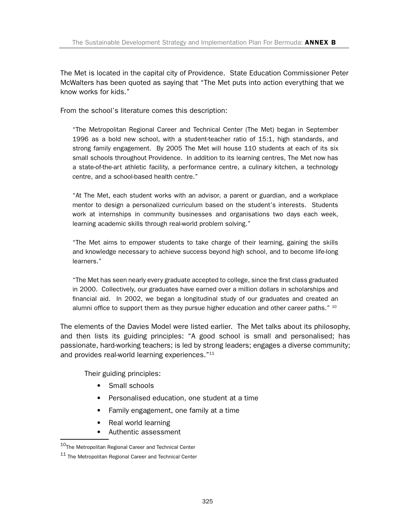The Met is located in the capital city of Providence. State Education Commissioner Peter McWalters has been quoted as saying that "The Met puts into action everything that we know works for kids."

From the school's literature comes this description:

"The Metropolitan Regional Career and Technical Center (The Met) began in September 1996 as a bold new school, with a student-teacher ratio of 15:1, high standards, and strong family engagement. By 2005 The Met will house 110 students at each of its six small schools throughout Providence. In addition to its learning centres, The Met now has a state-of-the-art athletic facility, a performance centre, a culinary kitchen, a technology centre, and a school-based health centre."

"At The Met, each student works with an advisor, a parent or guardian, and a workplace mentor to design a personalized curriculum based on the student's interests. Students work at internships in community businesses and organisations two days each week, learning academic skills through real-world problem solving."

"The Met aims to empower students to take charge of their learning, gaining the skills and knowledge necessary to achieve success beyond high school, and to become life-long learners."

"The Met has seen nearly every graduate accepted to college, since the first class graduated in 2000. Collectively, our graduates have earned over a million dollars in scholarships and financial aid. In 2002, we began a longitudinal study of our graduates and created an alumni office to support them as they pursue higher education and other career paths."  $10$ 

The elements of the Davies Model were listed earlier. The Met talks about its philosophy, and then lists its guiding principles: "A good school is small and personalised; has passionate, hard-working teachers; is led by strong leaders; engages a diverse community; and provides real-world learning experiences."<sup>11</sup>

Their guiding principles:

- Small schools
- Personalised education, one student at a time
- Family engagement, one family at a time
- Real world learning
- Authentic assessment

 $^{10}\!$  The Metropolitan Regional Career and Technical Center

<sup>11</sup> The Metropolitan Regional Career and Technical Center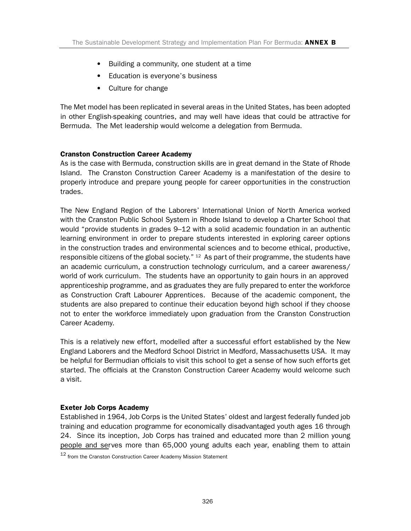- Building a community, one student at a time
- Education is everyone's business
- Culture for change

The Met model has been replicated in several areas in the United States, has been adopted in other English-speaking countries, and may well have ideas that could be attractive for Bermuda. The Met leadership would welcome a delegation from Bermuda.

#### Cranston Construction Career Academy

As is the case with Bermuda, construction skills are in great demand in the State of Rhode Island. The Cranston Construction Career Academy is a manifestation of the desire to properly introduce and prepare young people for career opportunities in the construction trades.

The New England Region of the Laborers' International Union of North America worked with the Cranston Public School System in Rhode Island to develop a Charter School that would "provide students in grades 9–12 with a solid academic foundation in an authentic learning environment in order to prepare students interested in exploring career options in the construction trades and environmental sciences and to become ethical, productive, responsible citizens of the global society."  $12$  As part of their programme, the students have an academic curriculum, a construction technology curriculum, and a career awareness/ world of work curriculum. The students have an opportunity to gain hours in an approved apprenticeship programme, and as graduates they are fully prepared to enter the workforce as Construction Craft Labourer Apprentices. Because of the academic component, the students are also prepared to continue their education beyond high school if they choose not to enter the workforce immediately upon graduation from the Cranston Construction Career Academy.

This is a relatively new effort, modelled after a successful effort established by the New England Laborers and the Medford School District in Medford, Massachusetts USA. It may be helpful for Bermudian officials to visit this school to get a sense of how such efforts get started. The officials at the Cranston Construction Career Academy would welcome such a visit.

#### Exeter Job Corps Academy

Established in 1964, Job Corps is the United States' oldest and largest federally funded job training and education programme for economically disadvantaged youth ages 16 through 24. Since its inception, Job Corps has trained and educated more than 2 million young people and serves more than 65,000 young adults each year, enabling them to attain

<sup>12</sup> from the Cranston Construction Career Academy Mission Statement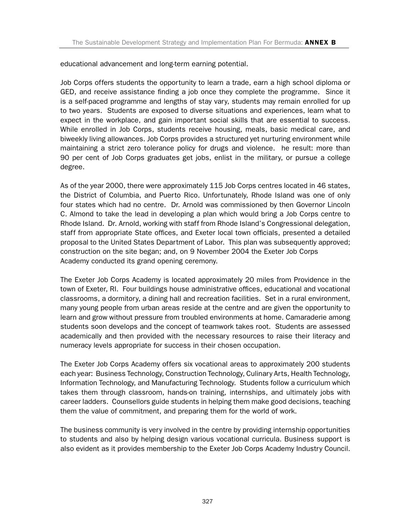educational advancement and long-term earning potential.

Job Corps offers students the opportunity to learn a trade, earn a high school diploma or GED, and receive assistance finding a job once they complete the programme. Since it is a self-paced programme and lengths of stay vary, students may remain enrolled for up to two years. Students are exposed to diverse situations and experiences, learn what to expect in the workplace, and gain important social skills that are essential to success. While enrolled in Job Corps, students receive housing, meals, basic medical care, and biweekly living allowances. Job Corps provides a structured yet nurturing environment while maintaining a strict zero tolerance policy for drugs and violence. he result: more than 90 per cent of Job Corps graduates get jobs, enlist in the military, or pursue a college degree.

As of the year 2000, there were approximately 115 Job Corps centres located in 46 states, the District of Columbia, and Puerto Rico. Unfortunately, Rhode Island was one of only four states which had no centre. Dr. Arnold was commissioned by then Governor Lincoln C. Almond to take the lead in developing a plan which would bring a Job Corps centre to Rhode Island. Dr. Arnold, working with staff from Rhode Island's Congressional delegation, staff from appropriate State offices, and Exeter local town officials, presented a detailed proposal to the United States Department of Labor. This plan was subsequently approved; construction on the site began; and, on 9 November 2004 the Exeter Job Corps Academy conducted its grand opening ceremony.

The Exeter Job Corps Academy is located approximately 20 miles from Providence in the town of Exeter, RI. Four buildings house administrative offices, educational and vocational classrooms, a dormitory, a dining hall and recreation facilities. Set in a rural environment, many young people from urban areas reside at the centre and are given the opportunity to learn and grow without pressure from troubled environments at home. Camaraderie among students soon develops and the concept of teamwork takes root. Students are assessed academically and then provided with the necessary resources to raise their literacy and numeracy levels appropriate for success in their chosen occupation.

The Exeter Job Corps Academy offers six vocational areas to approximately 200 students each year: Business Technology, Construction Technology, Culinary Arts, Health Technology, Information Technology, and Manufacturing Technology. Students follow a curriculum which takes them through classroom, hands-on training, internships, and ultimately jobs with career ladders. Counsellors guide students in helping them make good decisions, teaching them the value of commitment, and preparing them for the world of work.

The business community is very involved in the centre by providing internship opportunities to students and also by helping design various vocational curricula. Business support is also evident as it provides membership to the Exeter Job Corps Academy Industry Council.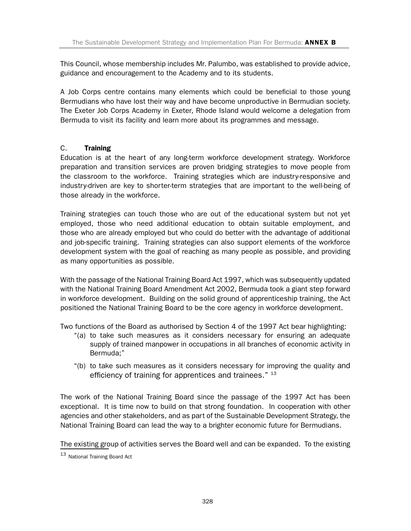This Council, whose membership includes Mr. Palumbo, was established to provide advice, guidance and encouragement to the Academy and to its students.

A Job Corps centre contains many elements which could be beneficial to those young Bermudians who have lost their way and have become unproductive in Bermudian society. The Exeter Job Corps Academy in Exeter, Rhode Island would welcome a delegation from Bermuda to visit its facility and learn more about its programmes and message.

#### C. Training

Education is at the heart of any long-term workforce development strategy. Workforce preparation and transition services are proven bridging strategies to move people from the classroom to the workforce. Training strategies which are industry-responsive and industry-driven are key to shorter-term strategies that are important to the well-being of those already in the workforce.

Training strategies can touch those who are out of the educational system but not yet employed, those who need additional education to obtain suitable employment, and those who are already employed but who could do better with the advantage of additional and job-specific training. Training strategies can also support elements of the workforce development system with the goal of reaching as many people as possible, and providing as many opportunities as possible.

With the passage of the National Training Board Act 1997, which was subsequently updated with the National Training Board Amendment Act 2002, Bermuda took a giant step forward in workforce development. Building on the solid ground of apprenticeship training, the Act positioned the National Training Board to be the core agency in workforce development.

Two functions of the Board as authorised by Section 4 of the 1997 Act bear highlighting:

- "(a) to take such measures as it considers necessary for ensuring an adequate supply of trained manpower in occupations in all branches of economic activity in Bermuda;"
- "(b) to take such measures as it considers necessary for improving the quality and efficiency of training for apprentices and trainees." 13

The work of the National Training Board since the passage of the 1997 Act has been exceptional. It is time now to build on that strong foundation. In cooperation with other agencies and other stakeholders, and as part of the Sustainable Development Strategy, the National Training Board can lead the way to a brighter economic future for Bermudians.

The existing group of activities serves the Board well and can be expanded. To the existing

<sup>13</sup> National Training Board Act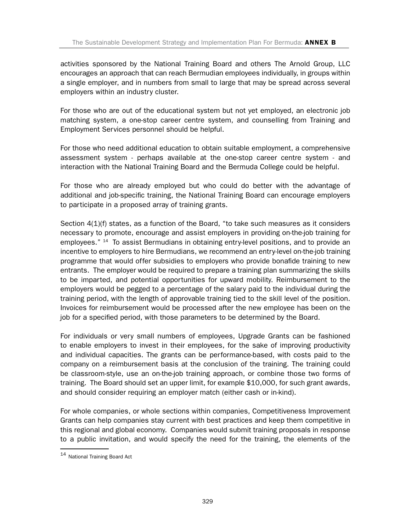activities sponsored by the National Training Board and others The Arnold Group, LLC encourages an approach that can reach Bermudian employees individually, in groups within a single employer, and in numbers from small to large that may be spread across several employers within an industry cluster.

For those who are out of the educational system but not yet employed, an electronic job matching system, a one-stop career centre system, and counselling from Training and Employment Services personnel should be helpful.

For those who need additional education to obtain suitable employment, a comprehensive assessment system - perhaps available at the one-stop career centre system - and interaction with the National Training Board and the Bermuda College could be helpful.

For those who are already employed but who could do better with the advantage of additional and job-specific training, the National Training Board can encourage employers to participate in a proposed array of training grants.

Section 4(1)(f) states, as a function of the Board, "to take such measures as it considers necessary to promote, encourage and assist employers in providing on-the-job training for employees."  $14$  To assist Bermudians in obtaining entry-level positions, and to provide an incentive to employers to hire Bermudians, we recommend an entry-level on-the-job training programme that would offer subsidies to employers who provide bonafide training to new entrants. The employer would be required to prepare a training plan summarizing the skills to be imparted, and potential opportunities for upward mobility. Reimbursement to the employers would be pegged to a percentage of the salary paid to the individual during the training period, with the length of approvable training tied to the skill level of the position. Invoices for reimbursement would be processed after the new employee has been on the job for a specified period, with those parameters to be determined by the Board.

For individuals or very small numbers of employees, Upgrade Grants can be fashioned to enable employers to invest in their employees, for the sake of improving productivity and individual capacities. The grants can be performance-based, with costs paid to the company on a reimbursement basis at the conclusion of the training. The training could be classroom-style, use an on-the-job training approach, or combine those two forms of training. The Board should set an upper limit, for example \$10,000, for such grant awards, and should consider requiring an employer match (either cash or in-kind).

For whole companies, or whole sections within companies, Competitiveness Improvement Grants can help companies stay current with best practices and keep them competitive in this regional and global economy. Companies would submit training proposals in response to a public invitation, and would specify the need for the training, the elements of the

<sup>14</sup> National Training Board Act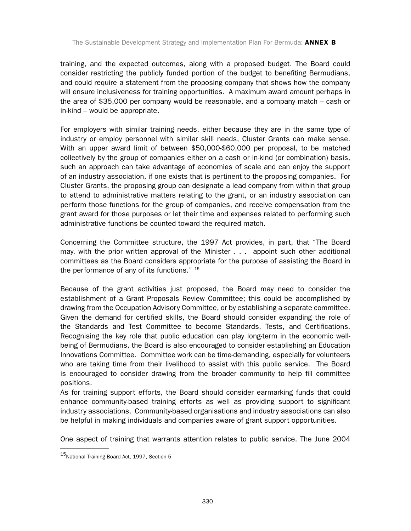training, and the expected outcomes, along with a proposed budget. The Board could consider restricting the publicly funded portion of the budget to benefiting Bermudians, and could require a statement from the proposing company that shows how the company will ensure inclusiveness for training opportunities. A maximum award amount perhaps in the area of \$35,000 per company would be reasonable, and a company match – cash or in-kind – would be appropriate.

For employers with similar training needs, either because they are in the same type of industry or employ personnel with similar skill needs, Cluster Grants can make sense. With an upper award limit of between \$50,000-\$60,000 per proposal, to be matched collectively by the group of companies either on a cash or in-kind (or combination) basis, such an approach can take advantage of economies of scale and can enjoy the support of an industry association, if one exists that is pertinent to the proposing companies. For Cluster Grants, the proposing group can designate a lead company from within that group to attend to administrative matters relating to the grant, or an industry association can perform those functions for the group of companies, and receive compensation from the grant award for those purposes or let their time and expenses related to performing such administrative functions be counted toward the required match.

Concerning the Committee structure, the 1997 Act provides, in part, that "The Board may, with the prior written approval of the Minister ... appoint such other additional committees as the Board considers appropriate for the purpose of assisting the Board in the performance of any of its functions."  $15$ 

Because of the grant activities just proposed, the Board may need to consider the establishment of a Grant Proposals Review Committee; this could be accomplished by drawing from the Occupation Advisory Committee, or by establishing a separate committee. Given the demand for certified skills, the Board should consider expanding the role of the Standards and Test Committee to become Standards, Tests, and Certifications. Recognising the key role that public education can play long-term in the economic wellbeing of Bermudians, the Board is also encouraged to consider establishing an Education Innovations Committee. Committee work can be time-demanding, especially for volunteers who are taking time from their livelihood to assist with this public service. The Board is encouraged to consider drawing from the broader community to help fill committee positions.

As for training support efforts, the Board should consider earmarking funds that could enhance community-based training efforts as well as providing support to significant industry associations. Community-based organisations and industry associations can also be helpful in making individuals and companies aware of grant support opportunities.

One aspect of training that warrants attention relates to public service. The June 2004

 $15$ National Training Board Act, 1997, Section 5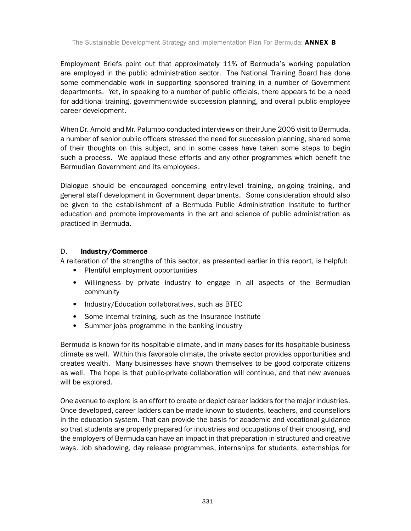Employment Briefs point out that approximately 11% of Bermuda's working population are employed in the public administration sector. The National Training Board has done some commendable work in supporting sponsored training in a number of Government departments. Yet, in speaking to a number of public officials, there appears to be a need for additional training, government-wide succession planning, and overall public employee career development.

When Dr. Arnold and Mr. Palumbo conducted interviews on their June 2005 visit to Bermuda, a number of senior public officers stressed the need for succession planning, shared some of their thoughts on this subject, and in some cases have taken some steps to begin such a process. We applaud these efforts and any other programmes which benefit the Bermudian Government and its employees.

Dialogue should be encouraged concerning entry-level training, on-going training, and general staff development in Government departments. Some consideration should also be given to the establishment of a Bermuda Public Administration Institute to further education and promote improvements in the art and science of public administration as practiced in Bermuda.

#### D. Industry/Commerce

A reiteration of the strengths of this sector, as presented earlier in this report, is helpful:

- Plentiful employment opportunities
- Willingness by private industry to engage in all aspects of the Bermudian community
- Industry/Education collaboratives, such as BTEC
- Some internal training, such as the Insurance Institute
- Summer jobs programme in the banking industry

Bermuda is known for its hospitable climate, and in many cases for its hospitable business climate as well. Within this favorable climate, the private sector provides opportunities and creates wealth. Many businesses have shown themselves to be good corporate citizens as well. The hope is that public-private collaboration will continue, and that new avenues will be explored.

One avenue to explore is an effort to create or depict career ladders for the major industries. Once developed, career ladders can be made known to students, teachers, and counsellors in the education system. That can provide the basis for academic and vocational guidance so that students are properly prepared for industries and occupations of their choosing, and the employers of Bermuda can have an impact in that preparation in structured and creative ways. Job shadowing, day release programmes, internships for students, externships for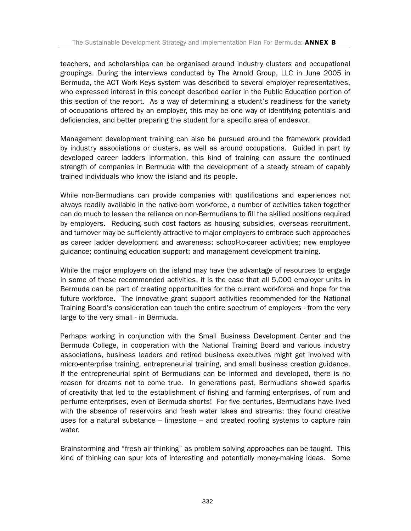teachers, and scholarships can be organised around industry clusters and occupational groupings. During the interviews conducted by The Arnold Group, LLC in June 2005 in Bermuda, the ACT Work Keys system was described to several employer representatives, who expressed interest in this concept described earlier in the Public Education portion of this section of the report. As a way of determining a student's readiness for the variety of occupations offered by an employer, this may be one way of identifying potentials and deficiencies, and better preparing the student for a specific area of endeavor.

Management development training can also be pursued around the framework provided by industry associations or clusters, as well as around occupations. Guided in part by developed career ladders information, this kind of training can assure the continued strength of companies in Bermuda with the development of a steady stream of capably trained individuals who know the island and its people.

While non-Bermudians can provide companies with qualifications and experiences not always readily available in the native-born workforce, a number of activities taken together can do much to lessen the reliance on non-Bermudians to fill the skilled positions required by employers. Reducing such cost factors as housing subsidies, overseas recruitment, and turnover may be sufficiently attractive to major employers to embrace such approaches as career ladder development and awareness; school-to-career activities; new employee guidance; continuing education support; and management development training.

While the major employers on the island may have the advantage of resources to engage in some of these recommended activities, it is the case that all 5,000 employer units in Bermuda can be part of creating opportunities for the current workforce and hope for the future workforce. The innovative grant support activities recommended for the National Training Board's consideration can touch the entire spectrum of employers - from the very large to the very small - in Bermuda.

Perhaps working in conjunction with the Small Business Development Center and the Bermuda College, in cooperation with the National Training Board and various industry associations, business leaders and retired business executives might get involved with micro-enterprise training, entrepreneurial training, and small business creation guidance. If the entrepreneurial spirit of Bermudians can be informed and developed, there is no reason for dreams not to come true. In generations past, Bermudians showed sparks of creativity that led to the establishment of fishing and farming enterprises, of rum and perfume enterprises, even of Bermuda shorts! For five centuries, Bermudians have lived with the absence of reservoirs and fresh water lakes and streams; they found creative uses for a natural substance – limestone – and created roofing systems to capture rain water.

Brainstorming and "fresh air thinking" as problem solving approaches can be taught. This kind of thinking can spur lots of interesting and potentially money-making ideas. Some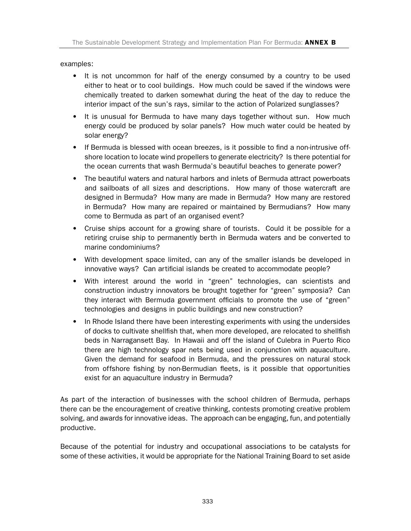#### examples:

- It is not uncommon for half of the energy consumed by a country to be used either to heat or to cool buildings. How much could be saved if the windows were chemically treated to darken somewhat during the heat of the day to reduce the interior impact of the sun's rays, similar to the action of Polarized sunglasses?
- It is unusual for Bermuda to have many days together without sun. How much energy could be produced by solar panels? How much water could be heated by solar energy?
- If Bermuda is blessed with ocean breezes, is it possible to find a non-intrusive offshore location to locate wind propellers to generate electricity? Is there potential for the ocean currents that wash Bermuda's beautiful beaches to generate power?
- The beautiful waters and natural harbors and inlets of Bermuda attract powerboats and sailboats of all sizes and descriptions. How many of those watercraft are designed in Bermuda? How many are made in Bermuda? How many are restored in Bermuda? How many are repaired or maintained by Bermudians? How many come to Bermuda as part of an organised event?
- Cruise ships account for a growing share of tourists. Could it be possible for a retiring cruise ship to permanently berth in Bermuda waters and be converted to marine condominiums?
- With development space limited, can any of the smaller islands be developed in innovative ways? Can artificial islands be created to accommodate people?
- With interest around the world in "green" technologies, can scientists and construction industry innovators be brought together for "green" symposia? Can they interact with Bermuda government officials to promote the use of "green" technologies and designs in public buildings and new construction?
- In Rhode Island there have been interesting experiments with using the undersides of docks to cultivate shellfish that, when more developed, are relocated to shellfish beds in Narragansett Bay. In Hawaii and off the island of Culebra in Puerto Rico there are high technology spar nets being used in conjunction with aquaculture. Given the demand for seafood in Bermuda, and the pressures on natural stock from offshore fishing by non-Bermudian fleets, is it possible that opportunities exist for an aquaculture industry in Bermuda?

As part of the interaction of businesses with the school children of Bermuda, perhaps there can be the encouragement of creative thinking, contests promoting creative problem solving, and awards for innovative ideas. The approach can be engaging, fun, and potentially productive.

Because of the potential for industry and occupational associations to be catalysts for some of these activities, it would be appropriate for the National Training Board to set aside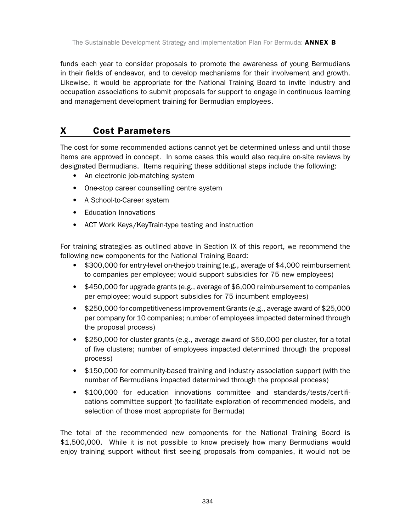funds each year to consider proposals to promote the awareness of young Bermudians in their fields of endeavor, and to develop mechanisms for their involvement and growth. Likewise, it would be appropriate for the National Training Board to invite industry and occupation associations to submit proposals for support to engage in continuous learning and management development training for Bermudian employees.

### X Cost Parameters

The cost for some recommended actions cannot yet be determined unless and until those items are approved in concept. In some cases this would also require on-site reviews by designated Bermudians. Items requiring these additional steps include the following:

- An electronic job-matching system
- One-stop career counselling centre system
- A School-to-Career system
- Education Innovations
- ACT Work Keys/KeyTrain-type testing and instruction

For training strategies as outlined above in Section IX of this report, we recommend the following new components for the National Training Board:

- \$300,000 for entry-level on-the-job training (e.g., average of \$4,000 reimbursement to companies per employee; would support subsidies for 75 new employees)
- \$450,000 for upgrade grants (e.g., average of \$6,000 reimbursement to companies per employee; would support subsidies for 75 incumbent employees)
- \$250,000 for competitiveness improvement Grants (e.g., average award of \$25,000 per company for 10 companies; number of employees impacted determined through the proposal process)
- \$250,000 for cluster grants (e.g., average award of \$50,000 per cluster, for a total of five clusters; number of employees impacted determined through the proposal process)
- \$150,000 for community-based training and industry association support (with the number of Bermudians impacted determined through the proposal process)
- \$100,000 for education innovations committee and standards/tests/certifications committee support (to facilitate exploration of recommended models, and selection of those most appropriate for Bermuda)

The total of the recommended new components for the National Training Board is \$1,500,000. While it is not possible to know precisely how many Bermudians would enjoy training support without first seeing proposals from companies, it would not be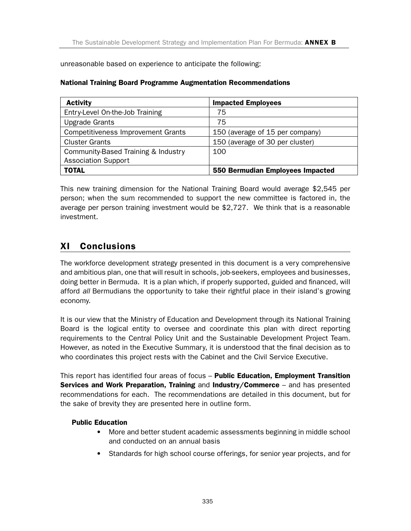unreasonable based on experience to anticipate the following:

| <b>Activity</b>                           | <b>Impacted Employees</b>        |
|-------------------------------------------|----------------------------------|
| Entry-Level On-the-Job Training           | 75                               |
| <b>Upgrade Grants</b>                     | 75                               |
| <b>Competitiveness Improvement Grants</b> | 150 (average of 15 per company)  |
| <b>Cluster Grants</b>                     | 150 (average of 30 per cluster)  |
| Community-Based Training & Industry       | 100                              |
| <b>Association Support</b>                |                                  |
| <b>TOTAL</b>                              | 550 Bermudian Employees Impacted |

#### National Training Board Programme Augmentation Recommendations

This new training dimension for the National Training Board would average \$2,545 per person; when the sum recommended to support the new committee is factored in, the average per person training investment would be \$2,727. We think that is a reasonable investment.

### XI Conclusions

The workforce development strategy presented in this document is a very comprehensive and ambitious plan, one that will result in schools, job-seekers, employees and businesses, doing better in Bermuda.It is a plan which, if properly supported, guided and financed, will afford *all* Bermudians the opportunity to take their rightful place in their island's growing economy.

It is our view that the Ministry of Education and Development through its National Training Board is the logical entity to oversee and coordinate this plan with direct reporting requirements to the Central Policy Unit and the Sustainable Development Project Team. However, as noted in the Executive Summary, it is understood that the final decision as to who coordinates this project rests with the Cabinet and the Civil Service Executive.

This report has identified four areas of focus - Public Education, Employment Transition Services and Work Preparation, Training and Industry/Commerce - and has presented recommendations for each. The recommendations are detailed in this document, but for the sake of brevity they are presented here in outline form.

#### Public Education

- More and better student academic assessments beginning in middle school and conducted on an annual basis
- Standards for high school course offerings, for senior year projects, and for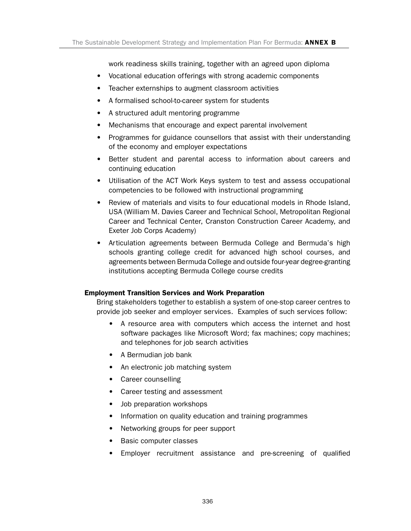work readiness skills training, together with an agreed upon diploma

- Vocational education offerings with strong academic components
- Teacher externships to augment classroom activities
- A formalised school-to-career system for students
- A structured adult mentoring programme
- Mechanisms that encourage and expect parental involvement
- Programmes for guidance counsellors that assist with their understanding of the economy and employer expectations
- Better student and parental access to information about careers and continuing education
- Utilisation of the ACT Work Keys system to test and assess occupational competencies to be followed with instructional programming
- Review of materials and visits to four educational models in Rhode Island, USA (William M. Davies Career and Technical School, Metropolitan Regional Career and Technical Center, Cranston Construction Career Academy, and Exeter Job Corps Academy)
- Articulation agreements between Bermuda College and Bermuda's high schools granting college credit for advanced high school courses, and agreements between Bermuda College and outside four-year degree-granting institutions accepting Bermuda College course credits

#### Employment Transition Services and Work Preparation

Bring stakeholders together to establish a system of one-stop career centres to provide job seeker and employer services. Examples of such services follow:

- A resource area with computers which access the internet and host software packages like Microsoft Word; fax machines; copy machines; and telephones for job search activities
- A Bermudian job bank
- An electronic job matching system
- Career counselling
- Career testing and assessment
- Job preparation workshops
- Information on quality education and training programmes
- Networking groups for peer support
- Basic computer classes
- Employer recruitment assistance and pre-screening of qualified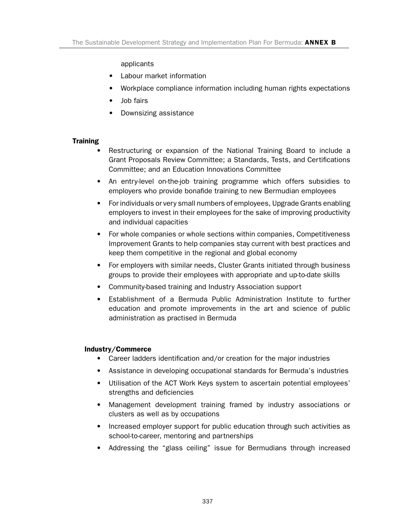#### applicants

- Labour market information
- Workplace compliance information including human rights expectations
- Job fairs
- Downsizing assistance

#### **Training**

- Restructuring or expansion of the National Training Board to include a Grant Proposals Review Committee; a Standards, Tests, and Certifications Committee; and an Education Innovations Committee
- An entry-level on-the-job training programme which offers subsidies to employers who provide bonafide training to new Bermudian employees
- For individuals or very small numbers of employees, Upgrade Grants enabling employers to invest in their employees for the sake of improving productivity and individual capacities
- For whole companies or whole sections within companies, Competitiveness Improvement Grants to help companies stay current with best practices and keep them competitive in the regional and global economy
- For employers with similar needs, Cluster Grants initiated through business groups to provide their employees with appropriate and up-to-date skills
- Community-based training and Industry Association support
- Establishment of a Bermuda Public Administration Institute to further education and promote improvements in the art and science of public administration as practised in Bermuda

#### Industry/Commerce

- Career ladders identification and/or creation for the major industries
- Assistance in developing occupational standards for Bermuda's industries
- Utilisation of the ACT Work Keys system to ascertain potential employees' strengths and deficiencies
- Management development training framed by industry associations or clusters as well as by occupations
- Increased employer support for public education through such activities as school-to-career, mentoring and partnerships
- Addressing the "glass ceiling" issue for Bermudians through increased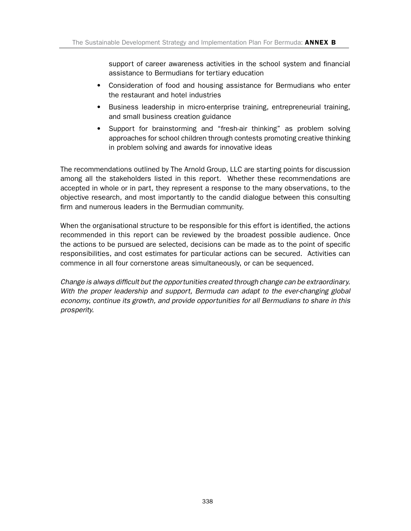support of career awareness activities in the school system and financial assistance to Bermudians for tertiary education

- Consideration of food and housing assistance for Bermudians who enter the restaurant and hotel industries
- Business leadership in micro-enterprise training, entrepreneurial training, and small business creation guidance
- Support for brainstorming and "fresh-air thinking" as problem solving approaches for school children through contests promoting creative thinking in problem solving and awards for innovative ideas

The recommendations outlined by The Arnold Group, LLC are starting points for discussion among all the stakeholders listed in this report. Whether these recommendations are accepted in whole or in part, they represent a response to the many observations, to the objective research, and most importantly to the candid dialogue between this consulting firm and numerous leaders in the Bermudian community.

When the organisational structure to be responsible for this effort is identified, the actions recommended in this report can be reviewed by the broadest possible audience. Once the actions to be pursued are selected, decisions can be made as to the point of specific responsibilities, and cost estimates for particular actions can be secured. Activities can commence in all four cornerstone areas simultaneously, or can be sequenced.

*Change is always difficult but the opportunities created through change can be extraordinary. With the proper leadership and support, Bermuda can adapt to the ever-changing global economy, continue its growth, and provide opportunities for all Bermudians to share in this prosperity.*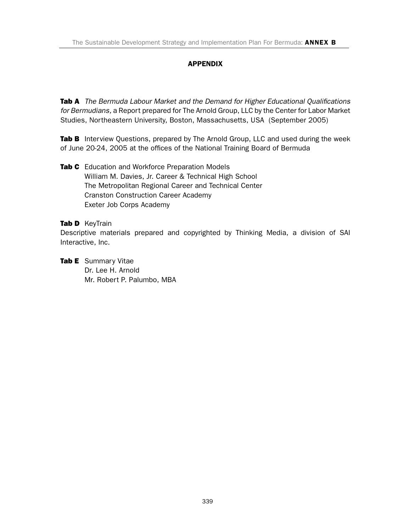#### APPENDIX

**Tab A** *The Bermuda Labour Market and the Demand for Higher Educational Qualifications for Bermudians,* a Report prepared for The Arnold Group, LLC by the Center for Labor Market Studies, Northeastern University, Boston, Massachusetts, USA (September 2005)

Tab B Interview Questions, prepared by The Arnold Group, LLC and used during the week of June 20-24, 2005 at the offices of the National Training Board of Bermuda

Tab C Education and Workforce Preparation Models William M. Davies, Jr. Career & Technical High School The Metropolitan Regional Career and Technical Center Cranston Construction Career Academy Exeter Job Corps Academy

#### Tab D KeyTrain

Descriptive materials prepared and copyrighted by Thinking Media, a division of SAI Interactive, Inc.

**Tab E** Summary Vitae Dr. Lee H. Arnold Mr. Robert P. Palumbo, MBA